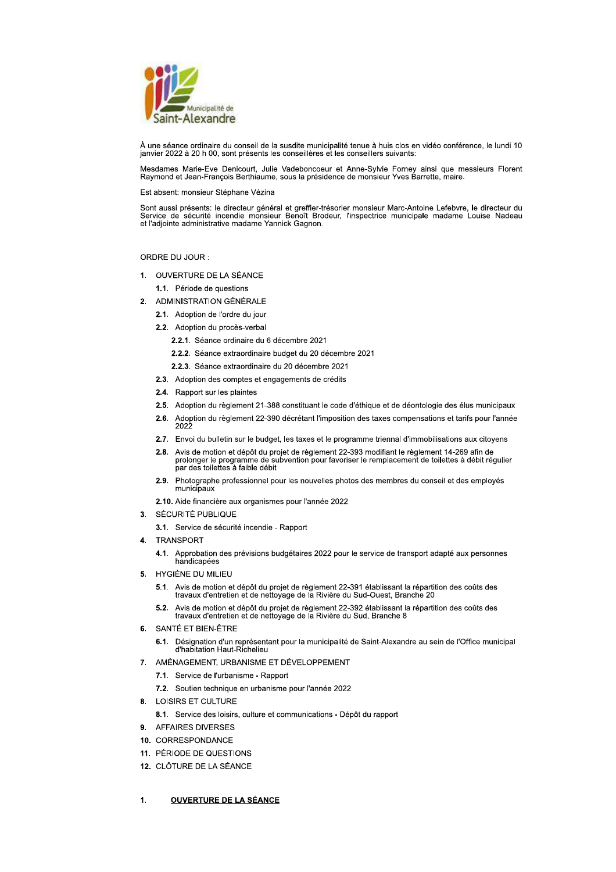

À une séance ordinaire du conseil de la susdite municipalité tenue à huis clos en vidéo conférence, le lundi 10 janvier 2022 à 20 h 00, sont présents les conseillères et les conseillers suivants:

Mesdames Marie-Eve Denicourt, Julie Vadeboncoeur et Anne-Sylvie Forney ainsi que messieurs Florent Raymond et Jean-François Berthiaume, sous la présidence de monsieur Yves Barrette, maire.

Est absent: monsieur Stéphane Vézina

Sont aussi présents: le directeur général et greffier-trésorier monsieur Marc-Antoine Lefebvre, le directeur du<br>Service de sécurité incendie monsieur Benoît Brodeur, l'inspectrice municipale madame Louise Nadeau et l'adjointe administrative madame Yannick Gagnon.

ORDRE DU JOUR:

- 1. OUVERTURE DE LA SÉANCE
	- 1.1. Période de questions
- 2. ADMINISTRATION GÉNÉRALE
	- 2.1. Adoption de l'ordre du jour
	- 2.2. Adoption du procès-verbal
		- 2.2.1. Séance ordinaire du 6 décembre 2021
		- 2.2.2. Séance extraordinaire budget du 20 décembre 2021
		- 2.2.3. Séance extraordinaire du 20 décembre 2021
	- 2.3. Adoption des comptes et engagements de crédits
	- 2.4. Rapport sur les plaintes
	- 2.5. Adoption du règlement 21-388 constituant le code d'éthique et de déontologie des élus municipaux
	- 2.6. Adoption du règlement 22-390 décrétant l'imposition des taxes compensations et tarifs pour l'année 2022
	- 2.7. Envoi du bulletin sur le budget, les taxes et le programme triennal d'immobilisations aux citoyens
	- 2.8. Avis de motion et dépôt du projet de règlement 22-393 modifiant le règlement 14-269 afin de<br>prolonger le programme de subvention pour favoriser le remplacement de toilettes à débit régulier par des toilettes à faible débit
	- 2.9. Photographe professionnel pour les nouvelles photos des membres du conseil et des employés municipaux
	- 2.10. Aide financière aux organismes pour l'année 2022
- 3. SÉCURITÉ PUBLIQUE
	- 3.1. Service de sécurité incendie Rapport
- **TRANSPORT** 
	- Approbation des prévisions budgétaires 2022 pour le service de transport adapté aux personnes  $4.1.$ handicapées
- 5. HYGIÈNE DU MILIEU
	- 5.1. Avis de motion et dépôt du projet de règlement 22-391 établissant la répartition des coûts des travaux d'entretien et de nettoyage de la Rivière du Sud-Ouest, Branche 20
	- 5.2. Avis de motion et dépôt du projet de règlement 22-392 établissant la répartition des coûts des travaux d'entretien et de nettoyage de la Rivière du Sud, Branche 8
- 6. SANTÉ ET BIEN-ÊTRE
	- 6.1. Désignation d'un représentant pour la municipalité de Saint-Alexandre au sein de l'Office municipal d'habitation Haut-Richelieu
- 7. AMÉNAGEMENT, URBANISME ET DÉVELOPPEMENT
	- 7.1. Service de l'urbanisme Rapport
	- 7.2. Soutien technique en urbanisme pour l'année 2022
- 8. LOISIRS ET CULTURE
	- 8.1. Service des loisirs, culture et communications Dépôt du rapport
- 9. AFFAIRES DIVERSES
- 10. CORRESPONDANCE
- 11. PÉRIODE DE QUESTIONS
- 12. CLÔTURE DE LA SÉANCE

#### **OUVERTURE DE LA SÉANCE**  $\mathbf{1}$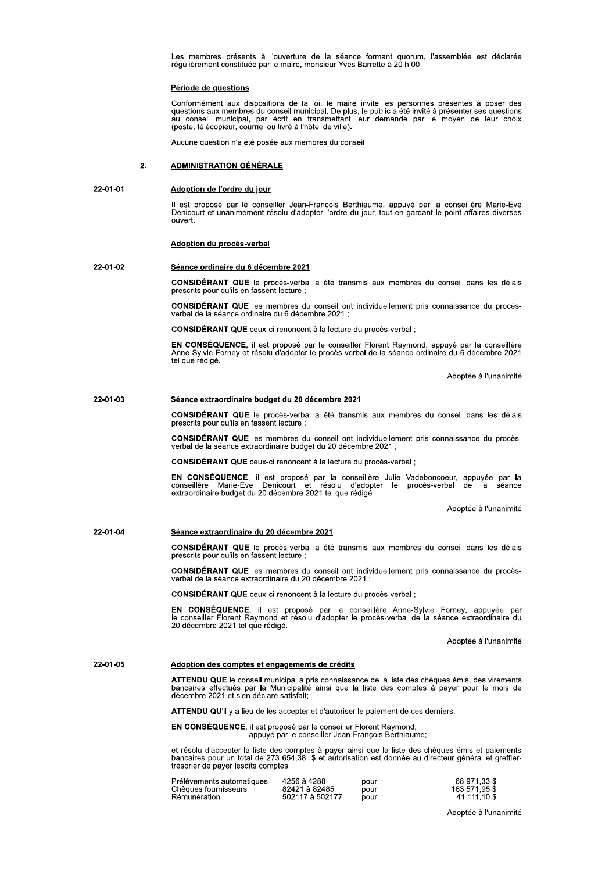Les membres présents à l'ouverture de la séance formant quorum, l'assemblée est déclarée régulièrement constituée par le maire, monsieur Yves Barrette à 20 h 00.

### Période de questions

Conformément aux dispositions de la loi, le maire invite les personnes présentes à poser des questions aux membres du conseil municipal. De plus, le public a été invité à présenter ses questions au conseil municipal, par é (poste, télécopieur, courriel ou livré à l'hôtel de ville).

Aucune question n'a été posée aux membres du conseil.

#### **ADMINISTRATION GÉNÉRALE**  $\overline{2}$

#### 22-01-01 Adoption de l'ordre du jour

Il est proposé par le conseiller Jean-Francois Berthiaume, appuyé par la conseillère Marie-Eve<br>Denicourt et unanimement résolu d'adopter l'ordre du jour, tout en gardant le point affaires diverses ouvert.

# Adoption du procès-verbal

#### 22-01-02 Séance ordinaire du 6 décembre 2021

CONSIDÉRANT QUE le procès-verbal a été transmis aux membres du conseil dans les délais prescrits pour qu'ils en fassent lecture ;

**CONSIDÉRANT QUE** les membres du conseil ont individuellement pris connaissance du procèsverbal de la séance ordinaire du 6 décembre 2021 ;

CONSIDÉRANT QUE ceux-ci renoncent à la lecture du procès-verbal :

EN CONSÉQUENCE, il est proposé par le conseiller Florent Raymond, appuyé par la conseillère<br>Anne-Sylvie Forney et résolu d'adopter le procès-verbal de la séance ordinaire du 6 décembre 2021 tel que rédigé.

Adoptée à l'unanimité

#### 22-01-03 Séance extraordinaire budget du 20 décembre 2021

CONSIDÉRANT QUE le procès-verbal a été transmis aux membres du conseil dans les délais prescrits pour qu'ils en fassent lecture ;

CONSIDÉRANT QUE les membres du conseil ont individuellement pris connaissance du procèsverbal de la séance extraordinaire budget du 20 décembre 2021 ;

CONSIDÉRANT QUE ceux-ci renoncent à la lecture du procès-verbal ;

EN CONSÉQUENCE, il est proposé par la conseillère Julie Vadeboncoeur, appuyée par la conseillère Marie-Eve Denicourt et résolu d'adopter le procès-verbal de la séance extraordinaire budget du 20 décembre 2021 tel que rédig

Adoptée à l'unanimité

#### 22-01-04 Séance extraordinaire du 20 décembre 2021

CONSIDÉRANT QUE le procès-verbal a été transmis aux membres du conseil dans les délais prescrits pour qu'ils en fassent lecture ;

CONSIDÉRANT QUE les membres du conseil ont individuellement pris connaissance du procès-<br>verbal de la séance extraordinaire du 20 décembre 2021 ;

CONSIDÉRANT QUE ceux-ci renoncent à la lecture du procès-verbal ;

EN CONSÉQUENCE, il est proposé par la conseillère Anne-Sylvie Forney, appuyée par le conseiller Florent Raymond et résolu d'adopter le procès-verbal de la séance extraordinaire du 20 décembre 2021 tel que rédigé.

Adoptée à l'unanimité

#### 22-01-05 Adoption des comptes et engagements de crédits

ATTENDU QUE le conseil municipal a pris connaissance de la liste des chèques émis, des virements bancaires effectués par la Municipalité ainsi que la liste des comptes à payer pour le mois de décembre 2021 et s'en déclare satisfait;

ATTENDU QU'il y a lieu de les accepter et d'autoriser le paiement de ces derniers;

EN CONSÉQUENCE, il est proposé par le conseiller Florent Raymond, appuyé par le conseiller Jean-François Berthiaume;

et résolu d'accepter la liste des comptes à payer ainsi que la liste des chèques émis et paiements<br>bancaires pour un total de 273 654,38 \$ et autorisation est donnée au directeur général et greffiertrésorier de payer lesdits comptes.

| Prélèvements automatiques | 4256 à 4288     | pour |
|---------------------------|-----------------|------|
| Chèques fournisseurs      | 82421 à 82485   | pour |
| Rémunération              | 502117 à 502177 | pour |

68 971,33 \$<br>163 571,95 \$<br>41 111,10 \$

Adoptée à l'unanimité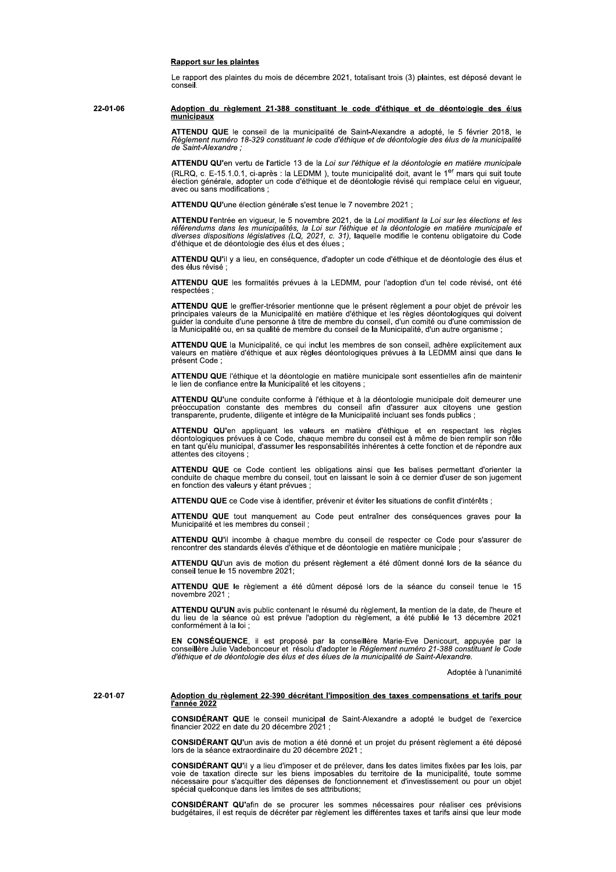### **Rapport sur les plaintes**

Le rapport des plaintes du mois de décembre 2021, totalisant trois (3) plaintes, est déposé devant le conseil.

22-01-06 Adoption du règlement 21-388 constituant le code d'éthique et de déontologie des élus municipaux

> ATTENDU QUE le conseil de la municipalité de Saint-Alexandre a adopté, le 5 février 2018, le Règlement numéro 18-329 constituant le code d'éthique et de déontologie des élus de la municipalité de Saint-Alexandre;

> ATTENDU QU'en vertu de l'article 13 de la Loi sur l'éthique et la déontologie en matière municipale (RLRQ, c. E-15.1.0.1, ci-après : la LEDMM), toute municipalité doit, avant le 1<sup>er</sup> mars qui suit toute<br>élection générale, adopter un code d'éthique et de déontologie révisé qui remplace celui en vigueur,<br>avec ou sans modi

ATTENDU QU'une élection générale s'est tenue le 7 novembre 2021 :

**ATTENDU** l'entrée en vigueur, le 5 novembre 2021, de la Loi modifiant la Loi sur les élections et les référendums dans les municipalités, la Loi sur l'éthique et la déontologie en matière municipale et diverses dispositio d'éthique et de déontologie des élus et des élues ;

ATTENDU QU'il y a lieu, en conséquence, d'adopter un code d'éthique et de déontologie des élus et

ATTENDU QUE les formalités prévues à la LEDMM, pour l'adoption d'un tel code révisé, ont été respectées

ATTENDU QUE le greffier-trésorier mentionne que le présent règlement a pour objet de prévoir les principales valeurs de la Municipalité en matière d'éthique et les règles déontologiques qui doivent guider la conduite d'une

ATTENDU QUE la Municipalité, ce qui inclut les membres de son conseil, adhère explicitement aux valeurs en matière d'éthique et aux règles déontologiques prévues à la LEDMM ainsi que dans le présent Code :

ATTENDU QUE l'éthique et la déontologie en matière municipale sont essentielles afin de maintenir<br>le lien de confiance entre la Municipalité et les citoyens ;

ATTENDU QU'une conduite conforme à l'éthique et à la déontologie municipale doit demeurer une préoccupation constante des membres du conseil afin d'assurer aux citoyens une gestion transparente, prudente, diligente et intè

ATTENDU QU'en appliquant les valeurs en matière d'éthique et en respectant les règles déontologiques prévues à ce Code, chaque membre du conseil est à même de bien remplir son rôle<br>en tant qu'élu municipal, d'assumer les responsabilités inhérentes à cette fonction et de répondre aux attentes des citovens :

ATTENDU QUE ce Code contient les obligations ainsi que les balises permettant d'orienter la conduite de chaque membre du conseil, tout en laissant le soin à ce dernier d'user de son jugement en fonction des valeurs y étant prévues :

ATTENDU QUE ce Code vise à identifier, prévenir et éviter les situations de conflit d'intérêts :

ATTENDU QUE tout manquement au Code peut entraîner des conséquences graves pour la Municipalité et les membres du conseil :

ATTENDU QU'il incombe à chaque membre du conseil de respecter ce Code pour s'assurer de rencontrer des standards élevés d'éthique et de déontologie en matière municipale

ATTENDU QU'un avis de motion du présent règlement a été dûment donné lors de la séance du conseil tenue le 15 novembre 2021:

ATTENDU QUE le règlement a été dûment déposé lors de la séance du conseil tenue le 15 novembre 2021

ATTENDU QU'UN avis public contenant le résumé du règlement, la mention de la date, de l'heure et du lieu de la séance où est prévue l'adoption du règlement, a été publié le 13 décembre 2021 conformément à la loi ;

EN CONSÉQUENCE, il est proposé par la conseillère Marie-Eve Denicourt, appuyée par la<br>conseillère Julie Vadeboncoeur et résolu d'adopter le Règlement numéro 21-388 constituant le Code d'éthique et de déontologie des élus et des élues de la municipalité de Saint-Alexandre.

Adoptée à l'unanimité

22-01-07

### Adoption du règlement 22-390 décrétant l'imposition des taxes compensations et tarifs pour l'année 2022

CONSIDÉRANT QUE le conseil municipal de Saint-Alexandre a adopté le budget de l'exercice financier 2022 en date du 20 décembre 2021 ;

CONSIDÉRANT QU'un avis de motion a été donné et un projet du présent règlement a été déposé lors de la séance extraordinaire du 20 décembre 2021 ;

CONSIDÉRANT QU'il y a lieu d'imposer et de prélever, dans les dates limites fixées par les lois, par voie de taxation directe sur les biens imposables du territoire de la municipalité, toute somme nécessaire pour s'acquitt spécial quelconque dans les limites de ses attributions:

CONSIDÉRANT QU'afin de se procurer les sommes nécessaires pour réaliser ces prévisions budgétaires, il est requis de décréter par règlement les différentes taxes et tarifs ainsi que leur mode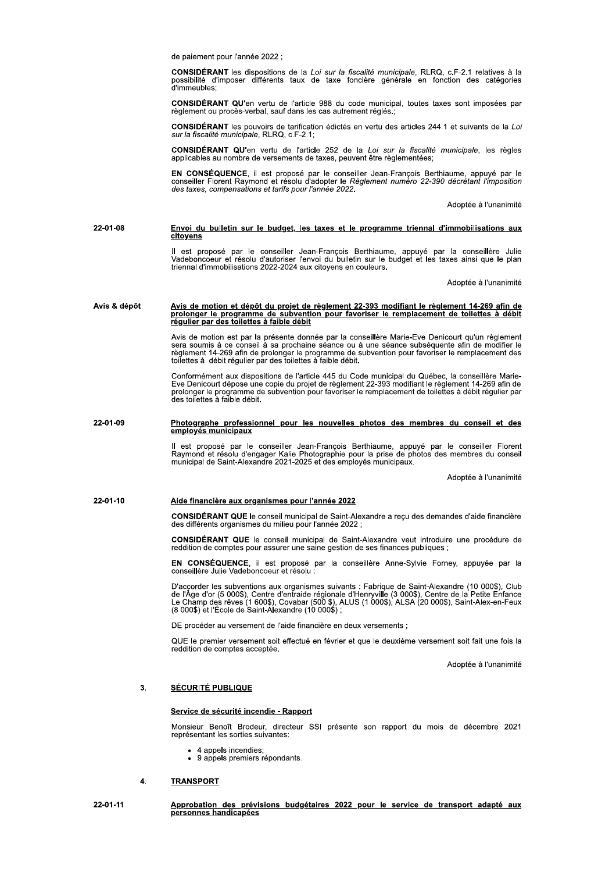de paiement pour l'année 2022 :

CONSIDÉRANT les dispositions de la Loi sur la fiscalité municipale, RLRQ, c.F-2.1 relatives à la possibilité d'imposer différents taux de taxe foncière générale en fonction des catégories d'immeubles;

CONSIDÉRANT QU'en vertu de l'article 988 du code municipal, toutes taxes sont imposées par règlement ou procès-verbal, sauf dans les cas autrement réglés.;

CONSIDÉRANT les pouvoirs de tarification édictés en vertu des articles 244.1 et suivants de la Loi sur la fiscalité municipale, RLRQ, c.F-2.1;

**CONSIDÉRANT QU'en** vertu de l'article 252 de la Loi sur la fiscalité municipale, les règles applicables au nombre de versements de taxes, peuvent être règlementées;

EN CONSÉQUENCE, il est proposé par le conseiller Jean-François Berthiaume, appuyé par le conseiller Florent Raymond et résolu d'adopter le Règlement numéro 22-390 décrétant l'imposition des taxes, compensations et tarifs p

Adoptée à l'unanimité

#### 22-01-08 Envoi du bulletin sur le budget, les taxes et le programme triennal d'immobilisations aux citovens

Il est proposé par le conseiller Jean-François Berthiaume, appuyé par la conseillère Julie<br>Vadeboncoeur et résolu d'autoriser l'envoi du bulletin sur le budget et les taxes ainsi que le plan triennal d'immobilisations 2022-2024 aux citoyens en couleurs.

Adoptée à l'unanimité

# <u>Avis de motion et dépôt du projet de règlement 22-393 modifiant le règlement 14-269 afin de prodonger le programme de subvention pour favoriser le remplacement de toilettes à débit<br>régulier par des toilettes à faible débi</u> Avis & dépôt

Avis de motion est par la présente donnée par la conseillère Marie-Eve Denicourt qu'un règlement sera soumis à ce conseil à sa prochaine séance ou à une séance subséquente afin de modifier le règlement 14-269 afin de prolo

Conformément aux dispositions de l'article 445 du Code municipal du Québec, la conseillère Marie-<br>Eve Denicourt dépose une copie du projet de règlement 22-393 modifiant le règlement 14-269 afin de prolonger le programme de subvention pour favoriser le remplacement de toilettes à débit régulier par des toilettes à faible débit.

#### 22-01-09 Photographe professionnel pour les nouvelles photos des membres du conseil et des emplovés municipaux

Il est proposé par le conseiller Jean-François Berthiaume, appuyé par le conseiller Florent<br>Raymond et résolu d'engager Kalie Photographie pour la prise de photos des membres du conseil<br>municipal de Saint-Alexandre 2021-20

Adoptée à l'unanimité

#### 22-01-10 Aide financière aux organismes pour l'année 2022

CONSIDÉRANT QUE le conseil municipal de Saint-Alexandre a reçu des demandes d'aide financière des différents organismes du milieu pour l'année 2022

CONSIDÉRANT QUE le conseil municipal de Saint-Alexandre veut introduire une procédure de reddition de comptes pour assurer une saine gestion de ses finances publiques ;

EN CONSÉQUENCE, il est proposé par la conseillère Anne-Sylvie Forney, appuyée par la conseillère Julie Vadeboncoeur et résolu

D'accorder les subventions aux organismes suivants : Fabrique de Saint-Alexandre (10 000\$), Club de l'Âge d'or (5 000\$), Centre d'entraide régionale d'Henryville (3 000\$), Centre de la Petite Enfance<br>Le Champ des rêves (1 (8 000\$) et l'École de Saint-Alexandre (10 000\$)

DE procéder au versement de l'aide financière en deux versements ;

QUE le premier versement soit effectué en février et que le deuxième versement soit fait une fois la reddition de comptes acceptée.

Adoptée à l'unanimité

#### **SÉCURITÉ PUBLIQUE**  $3.$

### Service de sécurité incendie - Rapport

Monsieur Benoît Brodeur, directeur SSI présente son rapport du mois de décembre 2021 représentant les sorties suivantes:

- 4 appels incendies;
- · 9 appels premiers répondants.

#### 4. **TRANSPORT**

22-01-11

Approbation des prévisions budgétaires 2022 pour le service de transport adapté aux personnes handicapées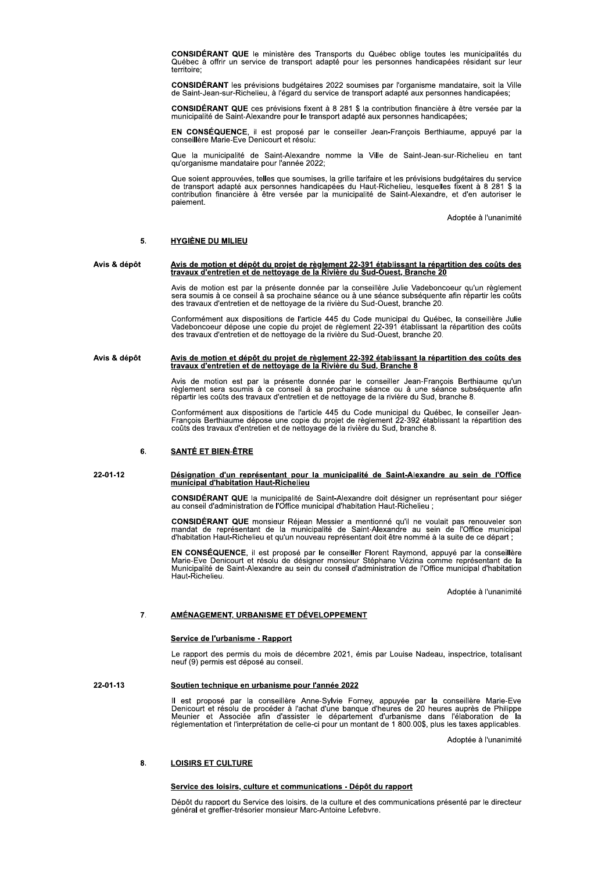CONSIDÉRANT QUE le ministère des Transports du Québec oblige toutes les municipalités du<br>Québec à offrir un service de transport adapté pour les personnes handicapées résidant sur leur territoire:

CONSIDÉRANT les prévisions budgétaires 2022 soumises par l'organisme mandataire, soit la Ville de Saint-Jean-sur-Richelieu, à l'égard du service de transport adapté aux personnes handicapées;

CONSIDÉRANT QUE ces prévisions fixent à 8 281 \$ la contribution financière à être versée par la municipalité de Saint-Alexandre pour le transport adapté aux personnes handicapées;

EN CONSÉQUENCE, il est proposé par le conseiller Jean-François Berthiaume, appuyé par la conseillère Marie-Eve Denicourt et résolu:

Que la municipalité de Saint-Alexandre nomme la Ville de Saint-Jean-sur-Richelieu en tant<br>qu'organisme mandataire pour l'année 2022;

Que soient approuvées, telles que soumises, la grille tarifaire et les prévisions budgétaires du service de transport adapté aux personnes handicapées du Haut-Richelieu, lesquelles fixent à 8 281 \$ la contribution financiè paiement.

Adoptée à l'unanimité

#### 5. **HYGIÈNE DU MILIEU**

Avis & dépôt Avis de motion et dépôt du projet de règlement 22-391 établissant la répartition des coûts des travaux d'entretien et de nettoyage de la Rivière du Sud-Ouest, Branche 20

> Avis de motion est par la présente donnée par la conseillère Julie Vadeboncoeur qu'un règlement sera soumis à ce conseil à sa prochaine séance ou à une séance subséquente afin répartir les coûts des travaux d'entretien et de nettoyage de la rivière du Sud-Ouest, branche 20.

> Conformément aux dispositions de l'article 445 du Code municipal du Québec, la conseillère Julie Vadeboncoeur dépose une copie du projet de règlement 22-391 établissant la répartition des coûts des travaux d'entretien et d

# <u>Avis de motion et dépôt du projet de règlement 22-392 établissant la répartition des coûts des</u><br>travaux d'entretien et de nettoyage de la Rivière du Sud, Branche 8 Avis & dépôt

Avis de motion est par la présente donnée par le conseiller Jean-François Berthiaume qu'un règlement sera soumis à ce conseil à sa prochaine séance ou à une séance subséquente afin<br>répartir les coûts des travaux d'entretie

Conformément aux dispositions de l'article 445 du Code municipal du Québec, le conseiller Jean-François Berthiaume dépose une copie du projet de règlement 22-392 établissant la répartition des<br>coûts des travaux d'entretien et de nettoyage de la rivière du Sud, branche 8.

#### ĥ. **SANTÉ ET BIEN-ÊTRE**

### 22-01-12 Désignation d'un représentant pour la municipalité de Saint-Alexandre au sein de l'Office<br>municipal d'habitation Haut-Richelieu

CONSIDÉRANT QUE la municipalité de Saint-Alexandre doit désigner un représentant pour siéger au conseil d'administration de l'Office municipal d'habitation Haut-Richelieu ;

CONSIDÉRANT QUE monsieur Réjean Messier a mentionné qu'il ne voulait pas renouveler son mandat de représentant de la municipalité de Saint-Alexandre au sein de l'Office municipal d'habitation Haut-Richelieu et qu'un nouveau représentant doit être nommé à la suite de ce départ ;

EN CONSÉQUENCE, il est proposé par le conseiller Florent Raymond, appuyé par la conseillère<br>Marie-Eve Denicourt et résolu de désigner monsieur Stéphane Vézina comme représentant de la Municipalité de Saint-Alexandre au sein du conseil d'administration de l'Office municipal d'habitation Haut-Richelieu.

Adoptée à l'unanimité

#### $\overline{7}$ <u>AMÉNAGEMENT, URBANISME ET DÉVELOPPEMENT</u>

### Service de l'urbanisme - Rapport

Le rapport des permis du mois de décembre 2021, émis par Louise Nadeau, inspectrice, totalisant neuf (9) permis est déposé au conseil.

#### 22-01-13 Soutien technique en urbanisme pour l'année 2022

Il est proposé par la conseillère Anne-Sylvie Forney, appuyée par la conseillère Marie-Eve<br>Denicourt et résolu de procéder à l'achat d'une banque d'heures de 20 heures auprès de Philippe<br>Meunier et Associée afin d'assister

Adoptée à l'unanimité

#### $\mathbf{R}$ **LOISIRS ET CULTURE**

## Service des loisirs, culture et communications - Dépôt du rapport

Dépôt du rapport du Service des loisirs, de la culture et des communications présenté par le directeur général et greffier-trésorier monsieur Marc-Antoine Lefebvre.